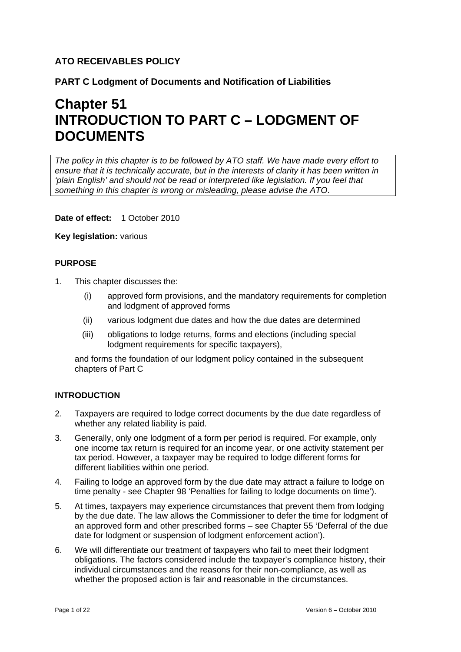# **ATO RECEIVABLES POLICY**

**PART C Lodgment of Documents and Notification of Liabilities**

# **Chapter 51 INTRODUCTION TO PART C – LODGMENT OF DOCUMENTS**

*The policy in this chapter is to be followed by ATO staff. We have made every effort to ensure that it is technically accurate, but in the interests of clarity it has been written in 'plain English' and should not be read or interpreted like legislation. If you feel that something in this chapter is wrong or misleading, please advise the ATO*.

**Date of effect:** 1 October 2010

**Key legislation:** various

# **PURPOSE**

- 1. This chapter discusses the:
	- (i) approved form provisions, and the mandatory requirements for completion and lodgment of approved forms
	- (ii) various lodgment due dates and how the due dates are determined
	- (iii) obligations to lodge returns, forms and elections (including special lodgment requirements for specific taxpayers),

and forms the foundation of our lodgment policy contained in the subsequent chapters of Part C

# **INTRODUCTION**

- 2. Taxpayers are required to lodge correct documents by the due date regardless of whether any related liability is paid.
- 3. Generally, only one lodgment of a form per period is required. For example, only one income tax return is required for an income year, or one activity statement per tax period. However, a taxpayer may be required to lodge different forms for different liabilities within one period.
- 4. Failing to lodge an approved form by the due date may attract a failure to lodge on time penalty - see Chapter 98 'Penalties for failing to lodge documents on time').
- 5. At times, taxpayers may experience circumstances that prevent them from lodging by the due date. The law allows the Commissioner to defer the time for lodgment of an approved form and other prescribed forms – see Chapter 55 'Deferral of the due date for lodgment or suspension of lodgment enforcement action').
- 6. We will differentiate our treatment of taxpayers who fail to meet their lodgment obligations. The factors considered include the taxpayer's compliance history, their individual circumstances and the reasons for their non-compliance, as well as whether the proposed action is fair and reasonable in the circumstances.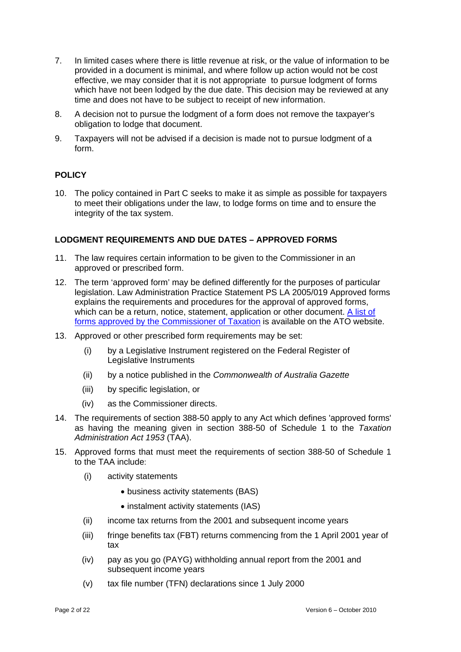- 7. In limited cases where there is little revenue at risk, or the value of information to be provided in a document is minimal, and where follow up action would not be cost effective, we may consider that it is not appropriate to pursue lodgment of forms which have not been lodged by the due date. This decision may be reviewed at any time and does not have to be subject to receipt of new information.
- 8. A decision not to pursue the lodgment of a form does not remove the taxpayer's obligation to lodge that document.
- 9. Taxpayers will not be advised if a decision is made not to pursue lodgment of a form.

# **POLICY**

10. The policy contained in Part C seeks to make it as simple as possible for taxpayers to meet their obligations under the law, to lodge forms on time and to ensure the integrity of the tax system.

# **LODGMENT REQUIREMENTS AND DUE DATES – APPROVED FORMS**

- 11. The law requires certain information to be given to the Commissioner in an approved or prescribed form.
- 12. The term 'approved form' may be defined differently for the purposes of particular legislation. Law Administration Practice Statement PS LA 2005/019 Approved forms explains the requirements and procedures for the approval of approved forms, which can be a return, notice, statement, application or other document. A list of [forms approved by the Commissioner of Taxation](http://atogovau/corporate/content.asp?doc=/content/00110114.htm&mnu=41269&mfp=001/005) is available on the ATO website.
- 13. Approved or other prescribed form requirements may be set:
	- (i) by a Legislative Instrument registered on the Federal Register of Legislative Instruments
	- (ii) by a notice published in the *Commonwealth of Australia Gazette*
	- (iii) by specific legislation, or
	- (iv) as the Commissioner directs.
- 14. The requirements of section 388-50 apply to any Act which defines 'approved forms' as having the meaning given in section 388-50 of Schedule 1 to the *Taxation Administration Act 1953* (TAA).
- 15. Approved forms that must meet the requirements of section 388-50 of Schedule 1 to the TAA include:
	- (i) activity statements
		- business activity statements (BAS)
		- instalment activity statements (IAS)
	- (ii) income tax returns from the 2001 and subsequent income years
	- (iii) fringe benefits tax (FBT) returns commencing from the 1 April 2001 year of tax
	- (iv) pay as you go (PAYG) withholding annual report from the 2001 and subsequent income years
	- (v) tax file number (TFN) declarations since 1 July 2000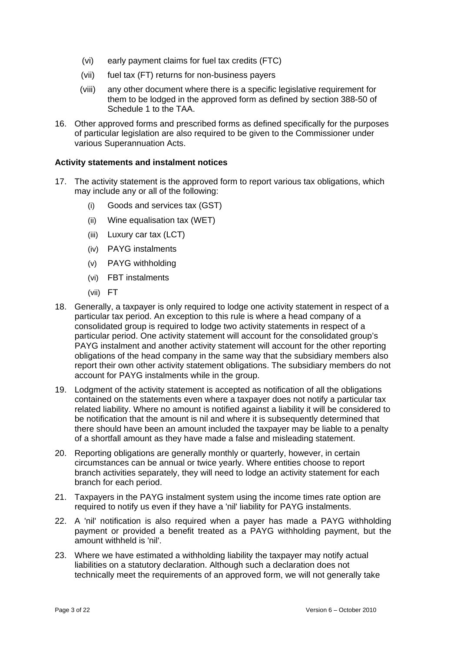- (vi) early payment claims for fuel tax credits (FTC)
- (vii) fuel tax (FT) returns for non-business payers
- (viii) any other document where there is a specific legislative requirement for them to be lodged in the approved form as defined by section 388-50 of Schedule 1 to the TAA.
- 16. Other approved forms and prescribed forms as defined specifically for the purposes of particular legislation are also required to be given to the Commissioner under various Superannuation Acts.

#### **Activity statements and instalment notices**

- 17. The activity statement is the approved form to report various tax obligations, which may include any or all of the following:
	- (i) Goods and services tax (GST)
	- (ii) Wine equalisation tax (WET)
	- (iii) Luxury car tax (LCT)
	- (iv) PAYG instalments
	- (v) PAYG withholding
	- (vi) FBT instalments
	- (vii) FT
- 18. Generally, a taxpayer is only required to lodge one activity statement in respect of a particular tax period. An exception to this rule is where a head company of a consolidated group is required to lodge two activity statements in respect of a particular period. One activity statement will account for the consolidated group's PAYG instalment and another activity statement will account for the other reporting obligations of the head company in the same way that the subsidiary members also report their own other activity statement obligations. The subsidiary members do not account for PAYG instalments while in the group.
- 19. Lodgment of the activity statement is accepted as notification of all the obligations contained on the statements even where a taxpayer does not notify a particular tax related liability. Where no amount is notified against a liability it will be considered to be notification that the amount is nil and where it is subsequently determined that there should have been an amount included the taxpayer may be liable to a penalty of a shortfall amount as they have made a false and misleading statement.
- 20. Reporting obligations are generally monthly or quarterly, however, in certain circumstances can be annual or twice yearly. Where entities choose to report branch activities separately, they will need to lodge an activity statement for each branch for each period.
- 21. Taxpayers in the PAYG instalment system using the income times rate option are required to notify us even if they have a 'nil' liability for PAYG instalments.
- 22. A 'nil' notification is also required when a payer has made a PAYG withholding payment or provided a benefit treated as a PAYG withholding payment, but the amount withheld is 'nil'.
- 23. Where we have estimated a withholding liability the taxpayer may notify actual liabilities on a statutory declaration. Although such a declaration does not technically meet the requirements of an approved form, we will not generally take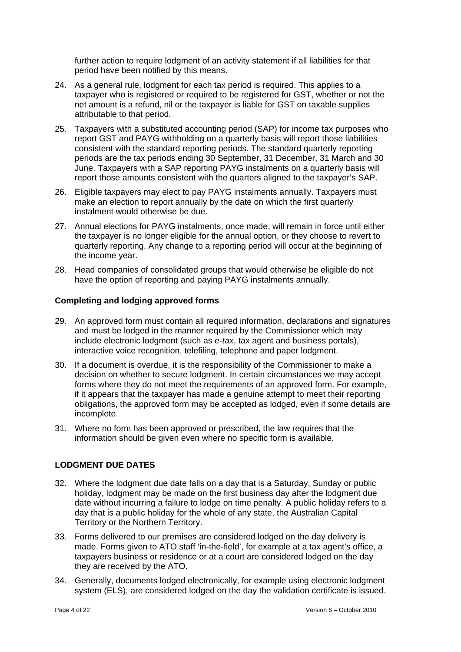further action to require lodgment of an activity statement if all liabilities for that period have been notified by this means.

- 24. As a general rule, lodgment for each tax period is required. This applies to a taxpayer who is registered or required to be registered for GST, whether or not the net amount is a refund, nil or the taxpayer is liable for GST on taxable supplies attributable to that period.
- 25. Taxpayers with a substituted accounting period (SAP) for income tax purposes who report GST and PAYG withholding on a quarterly basis will report those liabilities consistent with the standard reporting periods. The standard quarterly reporting periods are the tax periods ending 30 September, 31 December, 31 March and 30 June. Taxpayers with a SAP reporting PAYG instalments on a quarterly basis will report those amounts consistent with the quarters aligned to the taxpayer's SAP.
- 26. Eligible taxpayers may elect to pay PAYG instalments annually. Taxpayers must make an election to report annually by the date on which the first quarterly instalment would otherwise be due.
- 27. Annual elections for PAYG instalments, once made, will remain in force until either the taxpayer is no longer eligible for the annual option, or they choose to revert to quarterly reporting. Any change to a reporting period will occur at the beginning of the income year.
- 28. Head companies of consolidated groups that would otherwise be eligible do not have the option of reporting and paying PAYG instalments annually.

# **Completing and lodging approved forms**

- 29. An approved form must contain all required information, declarations and signatures and must be lodged in the manner required by the Commissioner which may include electronic lodgment (such as *e-tax*, tax agent and business portals), interactive voice recognition, telefiling, telephone and paper lodgment.
- 30. If a document is overdue, it is the responsibility of the Commissioner to make a decision on whether to secure lodgment. In certain circumstances we may accept forms where they do not meet the requirements of an approved form. For example, if it appears that the taxpayer has made a genuine attempt to meet their reporting obligations, the approved form may be accepted as lodged, even if some details are incomplete.
- 31. Where no form has been approved or prescribed, the law requires that the information should be given even where no specific form is available.

# **LODGMENT DUE DATES**

- 32. Where the lodgment due date falls on a day that is a Saturday, Sunday or public holiday, lodgment may be made on the first business day after the lodgment due date without incurring a failure to lodge on time penalty. A public holiday refers to a day that is a public holiday for the whole of any state, the Australian Capital Territory or the Northern Territory.
- 33. Forms delivered to our premises are considered lodged on the day delivery is made. Forms given to ATO staff 'in-the-field', for example at a tax agent's office, a taxpayers business or residence or at a court are considered lodged on the day they are received by the ATO.
- 34. Generally, documents lodged electronically, for example using electronic lodgment system (ELS), are considered lodged on the day the validation certificate is issued.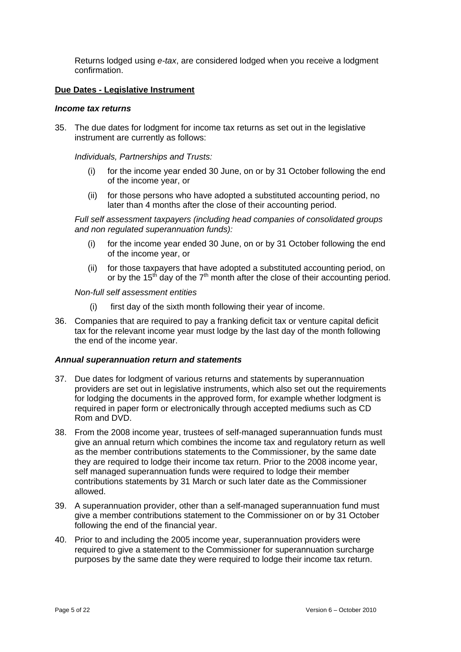Returns lodged using *e-tax*, are considered lodged when you receive a lodgment confirmation.

#### **Due Dates - Legislative Instrument**

#### *Income tax returns*

35. The due dates for lodgment for income tax returns as set out in the legislative instrument are currently as follows:

*Individuals, Partnerships and Trusts:* 

- (i) for the income year ended 30 June, on or by 31 October following the end of the income year, or
- (ii) for those persons who have adopted a substituted accounting period, no later than 4 months after the close of their accounting period.

*Full self assessment taxpayers (including head companies of consolidated groups and non regulated superannuation funds):* 

- (i) for the income year ended 30 June, on or by 31 October following the end of the income year, or
- (ii) for those taxpayers that have adopted a substituted accounting period, on or by the 15<sup>th</sup> day of the  $7<sup>th</sup>$  month after the close of their accounting period.

#### *Non-full self assessment entities*

- first day of the sixth month following their year of income.
- 36. Companies that are required to pay a franking deficit tax or venture capital deficit tax for the relevant income year must lodge by the last day of the month following the end of the income year.

#### *Annual superannuation return and statements*

- 37. Due dates for lodgment of various returns and statements by superannuation providers are set out in legislative instruments, which also set out the requirements for lodging the documents in the approved form, for example whether lodgment is required in paper form or electronically through accepted mediums such as CD Rom and DVD.
- 38. From the 2008 income year, trustees of self-managed superannuation funds must give an annual return which combines the income tax and regulatory return as well as the member contributions statements to the Commissioner, by the same date they are required to lodge their income tax return. Prior to the 2008 income year, self managed superannuation funds were required to lodge their member contributions statements by 31 March or such later date as the Commissioner allowed.
- 39. A superannuation provider, other than a self-managed superannuation fund must give a member contributions statement to the Commissioner on or by 31 October following the end of the financial year.
- 40. Prior to and including the 2005 income year, superannuation providers were required to give a statement to the Commissioner for superannuation surcharge purposes by the same date they were required to lodge their income tax return.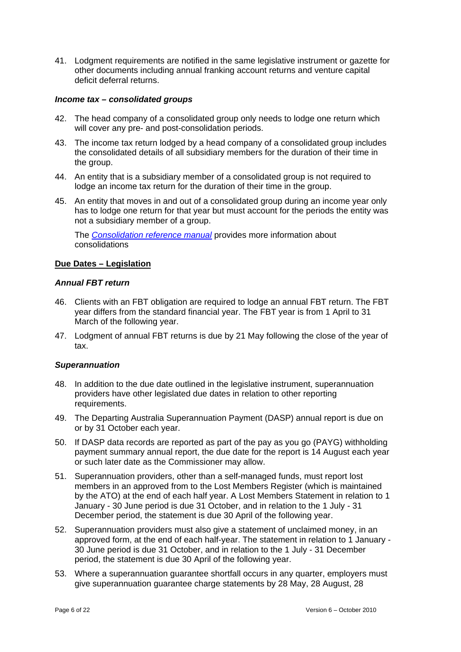41. Lodgment requirements are notified in the same legislative instrument or gazette for other documents including annual franking account returns and venture capital deficit deferral returns.

#### *Income tax – consolidated groups*

- 42. The head company of a consolidated group only needs to lodge one return which will cover any pre- and post-consolidation periods.
- 43. The income tax return lodged by a head company of a consolidated group includes the consolidated details of all subsidiary members for the duration of their time in the group.
- 44. An entity that is a subsidiary member of a consolidated group is not required to lodge an income tax return for the duration of their time in the group.
- 45. An entity that moves in and out of a consolidated group during an income year only has to lodge one return for that year but must account for the periods the entity was not a subsidiary member of a group.

The *[Consolidation reference manual](http://ato.gov.au/corporate/content.asp?doc=/content/34764.htm)* provides more information about consolidations

# **Due Dates – Legislation**

#### *Annual FBT return*

- 46. Clients with an FBT obligation are required to lodge an annual FBT return. The FBT year differs from the standard financial year. The FBT year is from 1 April to 31 March of the following year.
- 47. Lodgment of annual FBT returns is due by 21 May following the close of the year of tax.

#### *Superannuation*

- 48. In addition to the due date outlined in the legislative instrument, superannuation providers have other legislated due dates in relation to other reporting requirements.
- 49. The Departing Australia Superannuation Payment (DASP) annual report is due on or by 31 October each year.
- 50. If DASP data records are reported as part of the pay as you go (PAYG) withholding payment summary annual report, the due date for the report is 14 August each year or such later date as the Commissioner may allow.
- 51. Superannuation providers, other than a self-managed funds, must report lost members in an approved from to the Lost Members Register (which is maintained by the ATO) at the end of each half year. A Lost Members Statement in relation to 1 January - 30 June period is due 31 October, and in relation to the 1 July - 31 December period, the statement is due 30 April of the following year.
- 52. Superannuation providers must also give a statement of unclaimed money, in an approved form, at the end of each half-year. The statement in relation to 1 January - 30 June period is due 31 October, and in relation to the 1 July - 31 December period, the statement is due 30 April of the following year.
- 53. Where a superannuation guarantee shortfall occurs in any quarter, employers must give superannuation guarantee charge statements by 28 May, 28 August, 28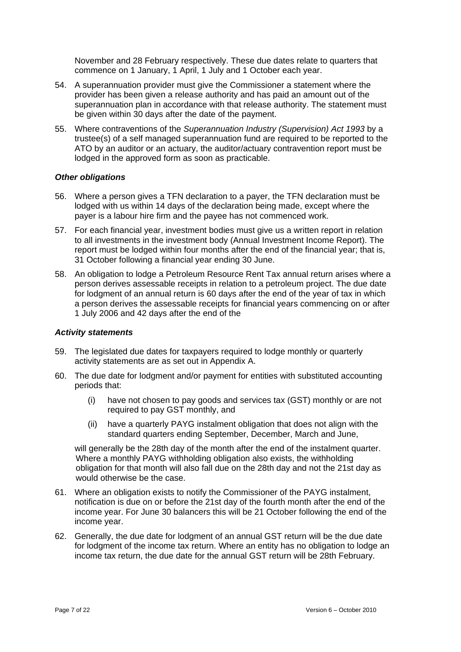November and 28 February respectively. These due dates relate to quarters that commence on 1 January, 1 April, 1 July and 1 October each year.

- 54. A superannuation provider must give the Commissioner a statement where the provider has been given a release authority and has paid an amount out of the superannuation plan in accordance with that release authority. The statement must be given within 30 days after the date of the payment.
- 55. Where contraventions of the *Superannuation Industry (Supervision) Act 1993* by a trustee(s) of a self managed superannuation fund are required to be reported to the ATO by an auditor or an actuary, the auditor/actuary contravention report must be lodged in the approved form as soon as practicable.

#### *Other obligations*

- 56. Where a person gives a TFN declaration to a payer, the TFN declaration must be lodged with us within 14 days of the declaration being made, except where the payer is a labour hire firm and the payee has not commenced work.
- 57. For each financial year, investment bodies must give us a written report in relation to all investments in the investment body (Annual Investment Income Report). The report must be lodged within four months after the end of the financial year; that is, 31 October following a financial year ending 30 June.
- 58. An obligation to lodge a Petroleum Resource Rent Tax annual return arises where a person derives assessable receipts in relation to a petroleum project. The due date for lodgment of an annual return is 60 days after the end of the year of tax in which a person derives the assessable receipts for financial years commencing on or after 1 July 2006 and 42 days after the end of the

#### *Activity statements*

- 59. The legislated due dates for taxpayers required to lodge monthly or quarterly activity statements are as set out in Appendix A.
- 60. The due date for lodgment and/or payment for entities with substituted accounting periods that:
	- (i) have not chosen to pay goods and services tax (GST) monthly or are not required to pay GST monthly, and
	- (ii) have a quarterly PAYG instalment obligation that does not align with the standard quarters ending September, December, March and June,

will generally be the 28th day of the month after the end of the instalment quarter. Where a monthly PAYG withholding obligation also exists, the withholding obligation for that month will also fall due on the 28th day and not the 21st day as would otherwise be the case.

- 61. Where an obligation exists to notify the Commissioner of the PAYG instalment, notification is due on or before the 21st day of the fourth month after the end of the income year. For June 30 balancers this will be 21 October following the end of the income year.
- 62. Generally, the due date for lodgment of an annual GST return will be the due date for lodgment of the income tax return. Where an entity has no obligation to lodge an income tax return, the due date for the annual GST return will be 28th February.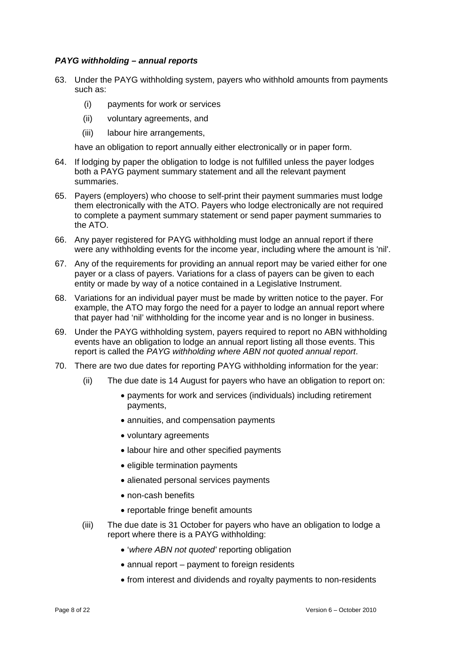#### *PAYG withholding – annual reports*

- 63. Under the PAYG withholding system, payers who withhold amounts from payments such as:
	- (i) payments for work or services
	- (ii) voluntary agreements, and
	- (iii) labour hire arrangements,

have an obligation to report annually either electronically or in paper form.

- 64. If lodging by paper the obligation to lodge is not fulfilled unless the payer lodges both a PAYG payment summary statement and all the relevant payment summaries.
- 65. Payers (employers) who choose to self-print their payment summaries must lodge them electronically with the ATO. Payers who lodge electronically are not required to complete a payment summary statement or send paper payment summaries to the ATO.
- 66. Any payer registered for PAYG withholding must lodge an annual report if there were any withholding events for the income year, including where the amount is 'nil'.
- 67. Any of the requirements for providing an annual report may be varied either for one payer or a class of payers. Variations for a class of payers can be given to each entity or made by way of a notice contained in a Legislative Instrument.
- 68. Variations for an individual payer must be made by written notice to the payer. For example, the ATO may forgo the need for a payer to lodge an annual report where that payer had 'nil' withholding for the income year and is no longer in business.
- 69. Under the PAYG withholding system, payers required to report no ABN withholding events have an obligation to lodge an annual report listing all those events. This report is called the *PAYG withholding where ABN not quoted annual report*.
- 70. There are two due dates for reporting PAYG withholding information for the year:
	- (ii) The due date is 14 August for payers who have an obligation to report on:
		- payments for work and services (individuals) including retirement payments,
		- annuities, and compensation payments
		- voluntary agreements
		- labour hire and other specified payments
		- eligible termination payments
		- alienated personal services payments
		- non-cash benefits
		- reportable fringe benefit amounts
	- (iii) The due date is 31 October for payers who have an obligation to lodge a report where there is a PAYG withholding:
		- '*where ABN not quoted'* reporting obligation
		- annual report payment to foreign residents
		- from interest and dividends and royalty payments to non-residents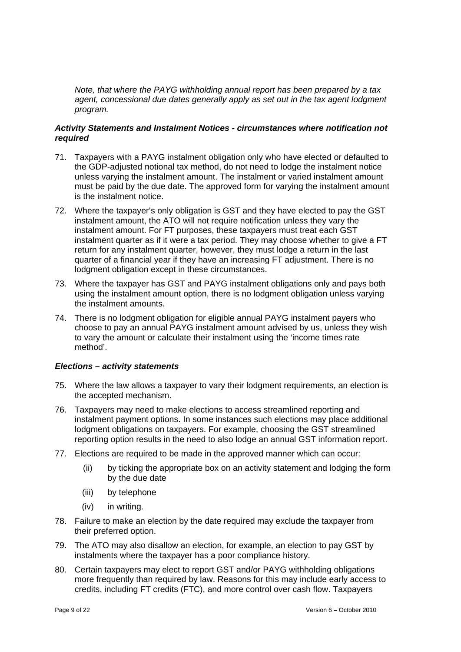*Note, that where the PAYG withholding annual report has been prepared by a tax*  agent, concessional due dates generally apply as set out in the tax agent lodgment *program.*

#### *Activity Statements and Instalment Notices - circumstances where notification not required*

- 71. Taxpayers with a PAYG instalment obligation only who have elected or defaulted to the GDP-adjusted notional tax method, do not need to lodge the instalment notice unless varying the instalment amount. The instalment or varied instalment amount must be paid by the due date. The approved form for varying the instalment amount is the instalment notice.
- 72. Where the taxpayer's only obligation is GST and they have elected to pay the GST instalment amount, the ATO will not require notification unless they vary the instalment amount. For FT purposes, these taxpayers must treat each GST instalment quarter as if it were a tax period. They may choose whether to give a FT return for any instalment quarter, however, they must lodge a return in the last quarter of a financial year if they have an increasing FT adjustment. There is no lodgment obligation except in these circumstances.
- 73. Where the taxpayer has GST and PAYG instalment obligations only and pays both using the instalment amount option, there is no lodgment obligation unless varying the instalment amounts.
- 74. There is no lodgment obligation for eligible annual PAYG instalment payers who choose to pay an annual PAYG instalment amount advised by us, unless they wish to vary the amount or calculate their instalment using the 'income times rate method'.

# *Elections – activity statements*

- 75. Where the law allows a taxpayer to vary their lodgment requirements, an election is the accepted mechanism.
- 76. Taxpayers may need to make elections to access streamlined reporting and instalment payment options. In some instances such elections may place additional lodgment obligations on taxpayers. For example, choosing the GST streamlined reporting option results in the need to also lodge an annual GST information report.
- 77. Elections are required to be made in the approved manner which can occur:
	- (ii) by ticking the appropriate box on an activity statement and lodging the form by the due date
	- (iii) by telephone
	- (iv) in writing.
- 78. Failure to make an election by the date required may exclude the taxpayer from their preferred option.
- 79. The ATO may also disallow an election, for example, an election to pay GST by instalments where the taxpayer has a poor compliance history.
- 80. Certain taxpayers may elect to report GST and/or PAYG withholding obligations more frequently than required by law. Reasons for this may include early access to credits, including FT credits (FTC), and more control over cash flow. Taxpayers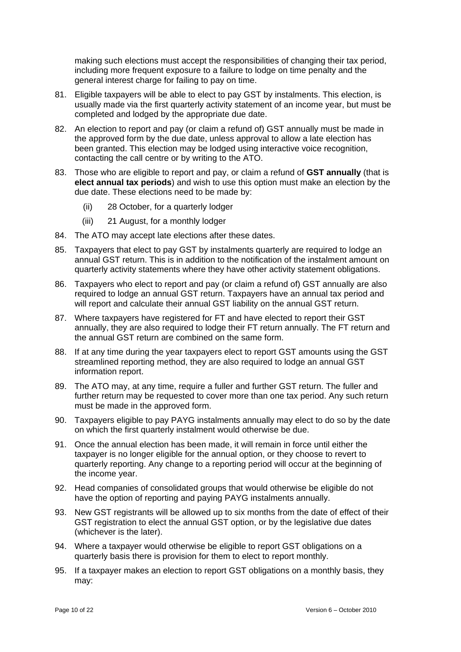making such elections must accept the responsibilities of changing their tax period, including more frequent exposure to a failure to lodge on time penalty and the general interest charge for failing to pay on time.

- 81. Eligible taxpayers will be able to elect to pay GST by instalments. This election, is usually made via the first quarterly activity statement of an income year, but must be completed and lodged by the appropriate due date.
- 82. An election to report and pay (or claim a refund of) GST annually must be made in the approved form by the due date, unless approval to allow a late election has been granted. This election may be lodged using interactive voice recognition, contacting the call centre or by writing to the ATO.
- 83. Those who are eligible to report and pay, or claim a refund of **GST annually** (that is **elect annual tax periods**) and wish to use this option must make an election by the due date. These elections need to be made by:
	- (ii) 28 October, for a quarterly lodger
	- (iii) 21 August, for a monthly lodger
- 84. The ATO may accept late elections after these dates.
- 85. Taxpayers that elect to pay GST by instalments quarterly are required to lodge an annual GST return. This is in addition to the notification of the instalment amount on quarterly activity statements where they have other activity statement obligations.
- 86. Taxpayers who elect to report and pay (or claim a refund of) GST annually are also required to lodge an annual GST return. Taxpayers have an annual tax period and will report and calculate their annual GST liability on the annual GST return.
- 87. Where taxpayers have registered for FT and have elected to report their GST annually, they are also required to lodge their FT return annually. The FT return and the annual GST return are combined on the same form.
- 88. If at any time during the year taxpayers elect to report GST amounts using the GST streamlined reporting method, they are also required to lodge an annual GST information report.
- 89. The ATO may, at any time, require a fuller and further GST return. The fuller and further return may be requested to cover more than one tax period. Any such return must be made in the approved form.
- 90. Taxpayers eligible to pay PAYG instalments annually may elect to do so by the date on which the first quarterly instalment would otherwise be due.
- 91. Once the annual election has been made, it will remain in force until either the taxpayer is no longer eligible for the annual option, or they choose to revert to quarterly reporting. Any change to a reporting period will occur at the beginning of the income year.
- 92. Head companies of consolidated groups that would otherwise be eligible do not have the option of reporting and paying PAYG instalments annually.
- 93. New GST registrants will be allowed up to six months from the date of effect of their GST registration to elect the annual GST option, or by the legislative due dates (whichever is the later).
- 94. Where a taxpayer would otherwise be eligible to report GST obligations on a quarterly basis there is provision for them to elect to report monthly.
- 95. If a taxpayer makes an election to report GST obligations on a monthly basis, they may: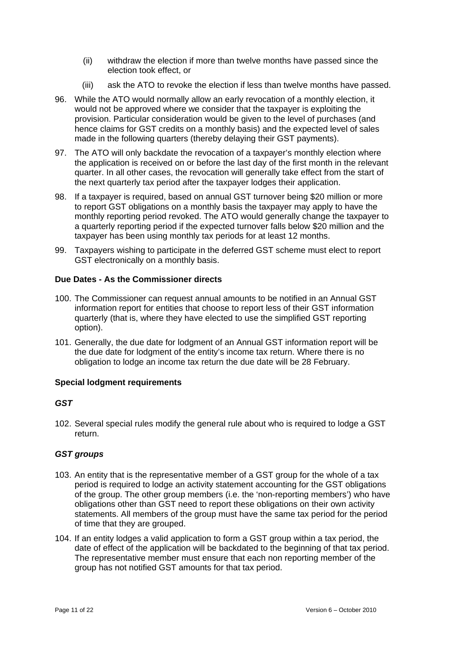- (ii) withdraw the election if more than twelve months have passed since the election took effect, or
- (iii) ask the ATO to revoke the election if less than twelve months have passed.
- 96. While the ATO would normally allow an early revocation of a monthly election, it would not be approved where we consider that the taxpayer is exploiting the provision. Particular consideration would be given to the level of purchases (and hence claims for GST credits on a monthly basis) and the expected level of sales made in the following quarters (thereby delaying their GST payments).
- 97. The ATO will only backdate the revocation of a taxpayer's monthly election where the application is received on or before the last day of the first month in the relevant quarter. In all other cases, the revocation will generally take effect from the start of the next quarterly tax period after the taxpayer lodges their application.
- 98. If a taxpayer is required, based on annual GST turnover being \$20 million or more to report GST obligations on a monthly basis the taxpayer may apply to have the monthly reporting period revoked. The ATO would generally change the taxpayer to a quarterly reporting period if the expected turnover falls below \$20 million and the taxpayer has been using monthly tax periods for at least 12 months.
- 99. Taxpayers wishing to participate in the deferred GST scheme must elect to report GST electronically on a monthly basis.

# **Due Dates - As the Commissioner directs**

- 100. The Commissioner can request annual amounts to be notified in an Annual GST information report for entities that choose to report less of their GST information quarterly (that is, where they have elected to use the simplified GST reporting option).
- 101. Generally, the due date for lodgment of an Annual GST information report will be the due date for lodgment of the entity's income tax return. Where there is no obligation to lodge an income tax return the due date will be 28 February.

#### **Special lodgment requirements**

# *GST*

102. Several special rules modify the general rule about who is required to lodge a GST return.

# *GST groups*

- 103. An entity that is the representative member of a GST group for the whole of a tax period is required to lodge an activity statement accounting for the GST obligations of the group. The other group members (i.e. the 'non-reporting members') who have obligations other than GST need to report these obligations on their own activity statements. All members of the group must have the same tax period for the period of time that they are grouped.
- 104. If an entity lodges a valid application to form a GST group within a tax period, the date of effect of the application will be backdated to the beginning of that tax period. The representative member must ensure that each non reporting member of the group has not notified GST amounts for that tax period.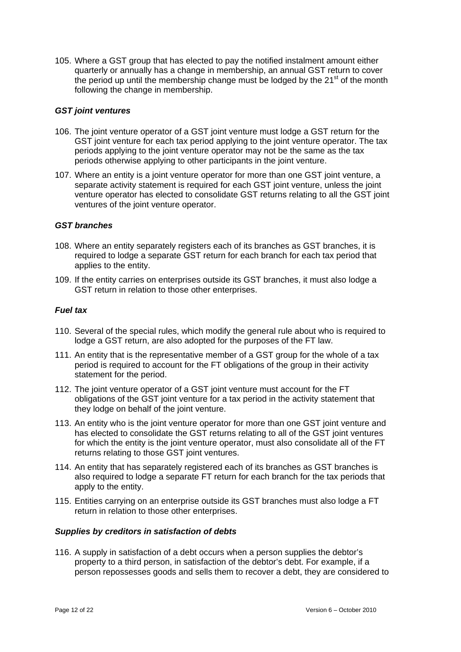105. Where a GST group that has elected to pay the notified instalment amount either quarterly or annually has a change in membership, an annual GST return to cover the period up until the membership change must be lodged by the  $21<sup>st</sup>$  of the month following the change in membership.

#### *GST joint ventures*

- 106. The joint venture operator of a GST joint venture must lodge a GST return for the GST joint venture for each tax period applying to the joint venture operator. The tax periods applying to the joint venture operator may not be the same as the tax periods otherwise applying to other participants in the joint venture.
- 107. Where an entity is a joint venture operator for more than one GST joint venture, a separate activity statement is required for each GST joint venture, unless the joint venture operator has elected to consolidate GST returns relating to all the GST joint ventures of the joint venture operator.

### *GST branches*

- 108. Where an entity separately registers each of its branches as GST branches, it is required to lodge a separate GST return for each branch for each tax period that applies to the entity.
- 109. If the entity carries on enterprises outside its GST branches, it must also lodge a GST return in relation to those other enterprises.

#### *Fuel tax*

- 110. Several of the special rules, which modify the general rule about who is required to lodge a GST return, are also adopted for the purposes of the FT law.
- 111. An entity that is the representative member of a GST group for the whole of a tax period is required to account for the FT obligations of the group in their activity statement for the period.
- 112. The joint venture operator of a GST joint venture must account for the FT obligations of the GST joint venture for a tax period in the activity statement that they lodge on behalf of the joint venture.
- 113. An entity who is the joint venture operator for more than one GST joint venture and has elected to consolidate the GST returns relating to all of the GST joint ventures for which the entity is the joint venture operator, must also consolidate all of the FT returns relating to those GST joint ventures.
- 114. An entity that has separately registered each of its branches as GST branches is also required to lodge a separate FT return for each branch for the tax periods that apply to the entity.
- 115. Entities carrying on an enterprise outside its GST branches must also lodge a FT return in relation to those other enterprises.

#### *Supplies by creditors in satisfaction of debts*

116. A supply in satisfaction of a debt occurs when a person supplies the debtor's property to a third person, in satisfaction of the debtor's debt. For example, if a person repossesses goods and sells them to recover a debt, they are considered to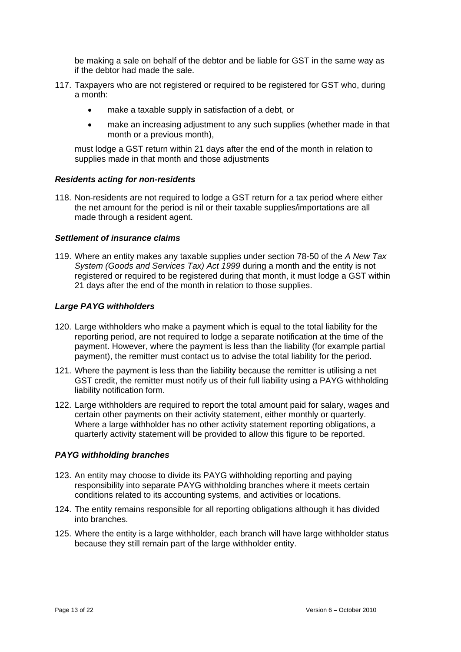be making a sale on behalf of the debtor and be liable for GST in the same way as if the debtor had made the sale.

- 117. Taxpayers who are not registered or required to be registered for GST who, during a month:
	- make a taxable supply in satisfaction of a debt, or
	- make an increasing adjustment to any such supplies (whether made in that month or a previous month),

must lodge a GST return within 21 days after the end of the month in relation to supplies made in that month and those adjustments

#### *Residents acting for non-residents*

118. Non-residents are not required to lodge a GST return for a tax period where either the net amount for the period is nil or their taxable supplies/importations are all made through a resident agent.

#### *Settlement of insurance claims*

119. Where an entity makes any taxable supplies under section 78-50 of the *A New Tax System (Goods and Services Tax) Act 1999* during a month and the entity is not registered or required to be registered during that month, it must lodge a GST within 21 days after the end of the month in relation to those supplies.

#### *Large PAYG withholders*

- 120. Large withholders who make a payment which is equal to the total liability for the reporting period, are not required to lodge a separate notification at the time of the payment. However, where the payment is less than the liability (for example partial payment), the remitter must contact us to advise the total liability for the period.
- 121. Where the payment is less than the liability because the remitter is utilising a net GST credit, the remitter must notify us of their full liability using a PAYG withholding liability notification form.
- 122. Large withholders are required to report the total amount paid for salary, wages and certain other payments on their activity statement, either monthly or quarterly. Where a large withholder has no other activity statement reporting obligations, a quarterly activity statement will be provided to allow this figure to be reported.

#### *PAYG withholding branches*

- 123. An entity may choose to divide its PAYG withholding reporting and paying responsibility into separate PAYG withholding branches where it meets certain conditions related to its accounting systems, and activities or locations.
- 124. The entity remains responsible for all reporting obligations although it has divided into branches.
- 125. Where the entity is a large withholder, each branch will have large withholder status because they still remain part of the large withholder entity.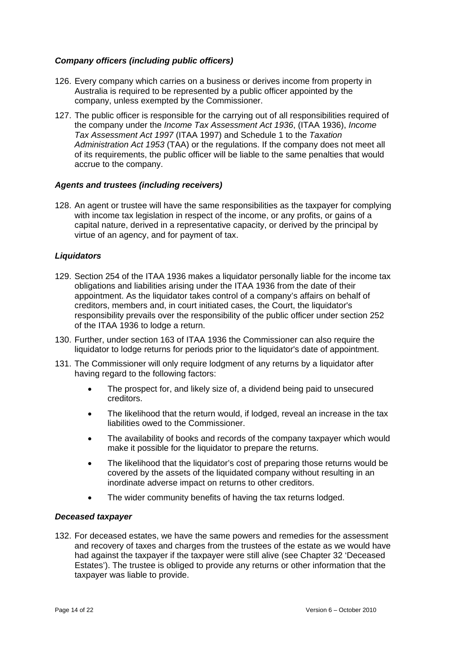# *Company officers (including public officers)*

- 126. Every company which carries on a business or derives income from property in Australia is required to be represented by a public officer appointed by the company, unless exempted by the Commissioner.
- 127. The public officer is responsible for the carrying out of all responsibilities required of the company under the *Income Tax Assessment Act 1936*, (ITAA 1936), *Income Tax Assessment Act 1997* (ITAA 1997) and Schedule 1 to the *Taxation Administration Act 1953* (TAA) or the regulations. If the company does not meet all of its requirements, the public officer will be liable to the same penalties that would accrue to the company.

#### *Agents and trustees (including receivers)*

128. An agent or trustee will have the same responsibilities as the taxpayer for complying with income tax legislation in respect of the income, or any profits, or gains of a capital nature, derived in a representative capacity, or derived by the principal by virtue of an agency, and for payment of tax.

#### *Liquidators*

- 129. Section 254 of the ITAA 1936 makes a liquidator personally liable for the income tax obligations and liabilities arising under the ITAA 1936 from the date of their appointment. As the liquidator takes control of a company's affairs on behalf of creditors, members and, in court initiated cases, the Court, the liquidator's responsibility prevails over the responsibility of the public officer under section 252 of the ITAA 1936 to lodge a return.
- 130. Further, under section 163 of ITAA 1936 the Commissioner can also require the liquidator to lodge returns for periods prior to the liquidator's date of appointment.
- 131. The Commissioner will only require lodgment of any returns by a liquidator after having regard to the following factors:
	- The prospect for, and likely size of, a dividend being paid to unsecured creditors.
	- The likelihood that the return would, if lodged, reveal an increase in the tax liabilities owed to the Commissioner.
	- The availability of books and records of the company taxpayer which would make it possible for the liquidator to prepare the returns.
	- The likelihood that the liquidator's cost of preparing those returns would be covered by the assets of the liquidated company without resulting in an inordinate adverse impact on returns to other creditors.
	- The wider community benefits of having the tax returns lodged.

#### *Deceased taxpayer*

132. For deceased estates, we have the same powers and remedies for the assessment and recovery of taxes and charges from the trustees of the estate as we would have had against the taxpayer if the taxpayer were still alive (see Chapter 32 'Deceased Estates'). The trustee is obliged to provide any returns or other information that the taxpayer was liable to provide.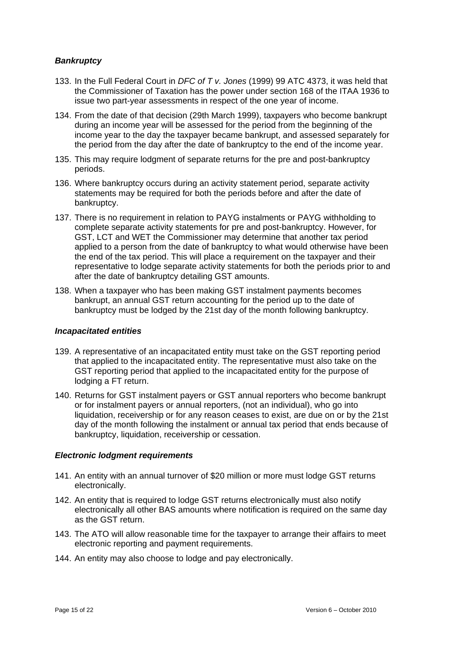## *Bankruptcy*

- 133. In the Full Federal Court in *DFC of T v. Jones* (1999) 99 ATC 4373, it was held that the Commissioner of Taxation has the power under section 168 of the ITAA 1936 to issue two part-year assessments in respect of the one year of income.
- 134. From the date of that decision (29th March 1999), taxpayers who become bankrupt during an income year will be assessed for the period from the beginning of the income year to the day the taxpayer became bankrupt, and assessed separately for the period from the day after the date of bankruptcy to the end of the income year.
- 135. This may require lodgment of separate returns for the pre and post-bankruptcy periods.
- 136. Where bankruptcy occurs during an activity statement period, separate activity statements may be required for both the periods before and after the date of bankruptcy.
- 137. There is no requirement in relation to PAYG instalments or PAYG withholding to complete separate activity statements for pre and post-bankruptcy. However, for GST, LCT and WET the Commissioner may determine that another tax period applied to a person from the date of bankruptcy to what would otherwise have been the end of the tax period. This will place a requirement on the taxpayer and their representative to lodge separate activity statements for both the periods prior to and after the date of bankruptcy detailing GST amounts.
- 138. When a taxpayer who has been making GST instalment payments becomes bankrupt, an annual GST return accounting for the period up to the date of bankruptcy must be lodged by the 21st day of the month following bankruptcy.

#### *Incapacitated entities*

- 139. A representative of an incapacitated entity must take on the GST reporting period that applied to the incapacitated entity. The representative must also take on the GST reporting period that applied to the incapacitated entity for the purpose of lodging a FT return.
- 140. Returns for GST instalment payers or GST annual reporters who become bankrupt or for instalment payers or annual reporters, (not an individual), who go into liquidation, receivership or for any reason ceases to exist, are due on or by the 21st day of the month following the instalment or annual tax period that ends because of bankruptcy, liquidation, receivership or cessation.

#### *Electronic lodgment requirements*

- 141. An entity with an annual turnover of \$20 million or more must lodge GST returns electronically.
- 142. An entity that is required to lodge GST returns electronically must also notify electronically all other BAS amounts where notification is required on the same day as the GST return.
- 143. The ATO will allow reasonable time for the taxpayer to arrange their affairs to meet electronic reporting and payment requirements.
- 144. An entity may also choose to lodge and pay electronically.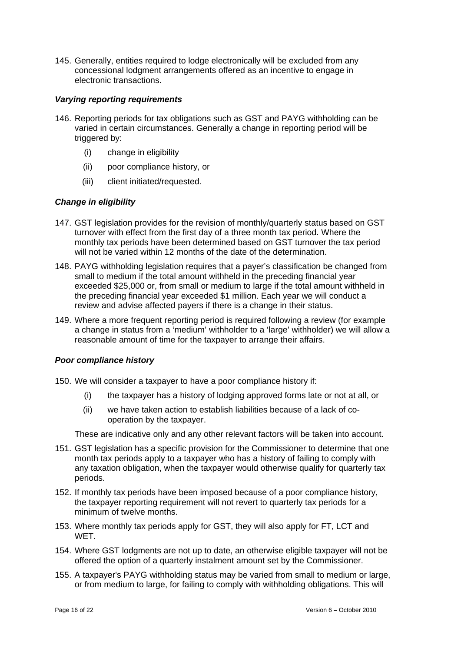145. Generally, entities required to lodge electronically will be excluded from any concessional lodgment arrangements offered as an incentive to engage in electronic transactions.

#### *Varying reporting requirements*

- 146. Reporting periods for tax obligations such as GST and PAYG withholding can be varied in certain circumstances. Generally a change in reporting period will be triggered by:
	- (i) change in eligibility
	- (ii) poor compliance history, or
	- (iii) client initiated/requested.

# *Change in eligibility*

- 147. GST legislation provides for the revision of monthly/quarterly status based on GST turnover with effect from the first day of a three month tax period. Where the monthly tax periods have been determined based on GST turnover the tax period will not be varied within 12 months of the date of the determination.
- 148. PAYG withholding legislation requires that a payer's classification be changed from small to medium if the total amount withheld in the preceding financial year exceeded \$25,000 or, from small or medium to large if the total amount withheld in the preceding financial year exceeded \$1 million. Each year we will conduct a review and advise affected payers if there is a change in their status.
- 149. Where a more frequent reporting period is required following a review (for example a change in status from a 'medium' withholder to a 'large' withholder) we will allow a reasonable amount of time for the taxpayer to arrange their affairs.

#### *Poor compliance history*

- 150. We will consider a taxpayer to have a poor compliance history if:
	- (i) the taxpayer has a history of lodging approved forms late or not at all, or
	- (ii) we have taken action to establish liabilities because of a lack of cooperation by the taxpayer.

These are indicative only and any other relevant factors will be taken into account.

- 151. GST legislation has a specific provision for the Commissioner to determine that one month tax periods apply to a taxpayer who has a history of failing to comply with any taxation obligation, when the taxpayer would otherwise qualify for quarterly tax periods.
- 152. If monthly tax periods have been imposed because of a poor compliance history, the taxpayer reporting requirement will not revert to quarterly tax periods for a minimum of twelve months.
- 153. Where monthly tax periods apply for GST, they will also apply for FT, LCT and WET.
- 154. Where GST lodgments are not up to date, an otherwise eligible taxpayer will not be offered the option of a quarterly instalment amount set by the Commissioner.
- 155. A taxpayer's PAYG withholding status may be varied from small to medium or large, or from medium to large, for failing to comply with withholding obligations. This will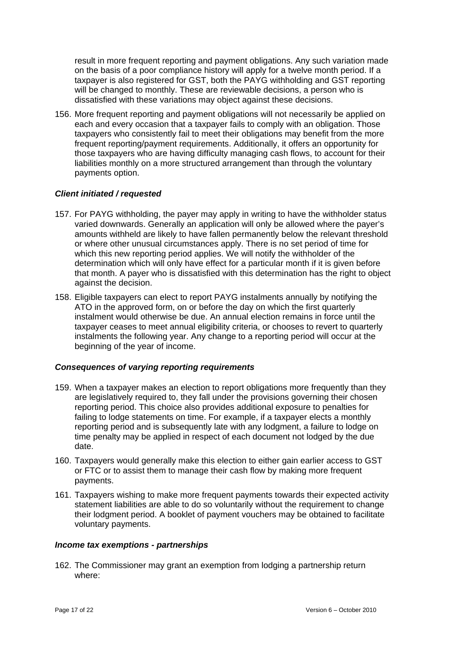result in more frequent reporting and payment obligations. Any such variation made on the basis of a poor compliance history will apply for a twelve month period. If a taxpayer is also registered for GST, both the PAYG withholding and GST reporting will be changed to monthly. These are reviewable decisions, a person who is dissatisfied with these variations may object against these decisions.

156. More frequent reporting and payment obligations will not necessarily be applied on each and every occasion that a taxpayer fails to comply with an obligation. Those taxpayers who consistently fail to meet their obligations may benefit from the more frequent reporting/payment requirements. Additionally, it offers an opportunity for those taxpayers who are having difficulty managing cash flows, to account for their liabilities monthly on a more structured arrangement than through the voluntary payments option.

# *Client initiated / requested*

- 157. For PAYG withholding, the payer may apply in writing to have the withholder status varied downwards. Generally an application will only be allowed where the payer's amounts withheld are likely to have fallen permanently below the relevant threshold or where other unusual circumstances apply. There is no set period of time for which this new reporting period applies. We will notify the withholder of the determination which will only have effect for a particular month if it is given before that month. A payer who is dissatisfied with this determination has the right to object against the decision.
- 158. Eligible taxpayers can elect to report PAYG instalments annually by notifying the ATO in the approved form, on or before the day on which the first quarterly instalment would otherwise be due. An annual election remains in force until the taxpayer ceases to meet annual eligibility criteria, or chooses to revert to quarterly instalments the following year. Any change to a reporting period will occur at the beginning of the year of income.

#### *Consequences of varying reporting requirements*

- 159. When a taxpayer makes an election to report obligations more frequently than they are legislatively required to, they fall under the provisions governing their chosen reporting period. This choice also provides additional exposure to penalties for failing to lodge statements on time. For example, if a taxpayer elects a monthly reporting period and is subsequently late with any lodgment, a failure to lodge on time penalty may be applied in respect of each document not lodged by the due date.
- 160. Taxpayers would generally make this election to either gain earlier access to GST or FTC or to assist them to manage their cash flow by making more frequent payments.
- 161. Taxpayers wishing to make more frequent payments towards their expected activity statement liabilities are able to do so voluntarily without the requirement to change their lodgment period. A booklet of payment vouchers may be obtained to facilitate voluntary payments.

#### *Income tax exemptions - partnerships*

162. The Commissioner may grant an exemption from lodging a partnership return where: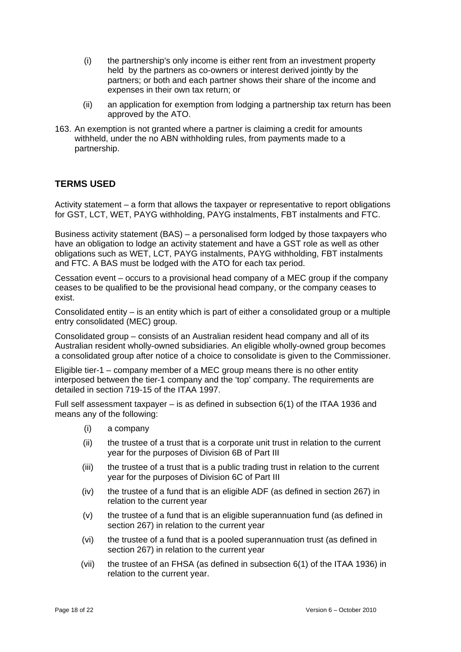- (i) the partnership's only income is either rent from an investment property held by the partners as co-owners or interest derived jointly by the partners; or both and each partner shows their share of the income and expenses in their own tax return; or
- (ii) an application for exemption from lodging a partnership tax return has been approved by the ATO.
- 163. An exemption is not granted where a partner is claiming a credit for amounts withheld, under the no ABN withholding rules, from payments made to a partnership.

# **TERMS USED**

Activity statement – a form that allows the taxpayer or representative to report obligations for GST, LCT, WET, PAYG withholding, PAYG instalments, FBT instalments and FTC.

Business activity statement (BAS) – a personalised form lodged by those taxpayers who have an obligation to lodge an activity statement and have a GST role as well as other obligations such as WET, LCT, PAYG instalments, PAYG withholding, FBT instalments and FTC. A BAS must be lodged with the ATO for each tax period.

Cessation event – occurs to a provisional head company of a MEC group if the company ceases to be qualified to be the provisional head company, or the company ceases to exist.

Consolidated entity – is an entity which is part of either a consolidated group or a multiple entry consolidated (MEC) group.

Consolidated group – consists of an Australian resident head company and all of its Australian resident wholly-owned subsidiaries. An eligible wholly-owned group becomes a consolidated group after notice of a choice to consolidate is given to the Commissioner.

Eligible tier-1 – company member of a MEC group means there is no other entity interposed between the tier-1 company and the 'top' company. The requirements are detailed in section 719-15 of the ITAA 1997.

Full self assessment taxpayer – is as defined in subsection 6(1) of the ITAA 1936 and means any of the following:

- (i) a company
- (ii) the trustee of a trust that is a corporate unit trust in relation to the current year for the purposes of Division 6B of Part III
- (iii) the trustee of a trust that is a public trading trust in relation to the current year for the purposes of Division 6C of Part III
- (iv) the trustee of a fund that is an eligible ADF (as defined in section 267) in relation to the current year
- (v) the trustee of a fund that is an eligible superannuation fund (as defined in section 267) in relation to the current year
- (vi) the trustee of a fund that is a pooled superannuation trust (as defined in section 267) in relation to the current year
- (vii) the trustee of an FHSA (as defined in subsection 6(1) of the ITAA 1936) in relation to the current year.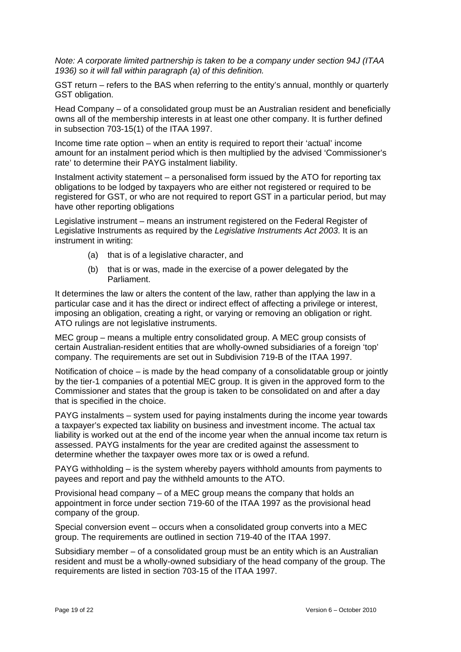*Note: A corporate limited partnership is taken to be a company under section 94J (ITAA 1936) so it will fall within paragraph (a) of this definition.* 

GST return – refers to the BAS when referring to the entity's annual, monthly or quarterly GST obligation.

Head Company – of a consolidated group must be an Australian resident and beneficially owns all of the membership interests in at least one other company. It is further defined in subsection 703-15(1) of the ITAA 1997.

Income time rate option – when an entity is required to report their 'actual' income amount for an instalment period which is then multiplied by the advised 'Commissioner's rate' to determine their PAYG instalment liability.

Instalment activity statement – a personalised form issued by the ATO for reporting tax obligations to be lodged by taxpayers who are either not registered or required to be registered for GST, or who are not required to report GST in a particular period, but may have other reporting obligations

Legislative instrument – means an instrument registered on the Federal Register of Legislative Instruments as required by the *Legislative Instruments Act 2003*. It is an instrument in writing:

- (a) that is of a legislative character, and
- (b) that is or was, made in the exercise of a power delegated by the Parliament.

It determines the law or alters the content of the law, rather than applying the law in a particular case and it has the direct or indirect effect of affecting a privilege or interest, imposing an obligation, creating a right, or varying or removing an obligation or right. ATO rulings are not legislative instruments.

MEC group – means a multiple entry consolidated group. A MEC group consists of certain Australian-resident entities that are wholly-owned subsidiaries of a foreign 'top' company. The requirements are set out in Subdivision 719-B of the ITAA 1997.

Notification of choice – is made by the head company of a consolidatable group or jointly by the tier-1 companies of a potential MEC group. It is given in the approved form to the Commissioner and states that the group is taken to be consolidated on and after a day that is specified in the choice.

PAYG instalments – system used for paying instalments during the income year towards a taxpayer's expected tax liability on business and investment income. The actual tax liability is worked out at the end of the income year when the annual income tax return is assessed. PAYG instalments for the year are credited against the assessment to determine whether the taxpayer owes more tax or is owed a refund.

PAYG withholding – is the system whereby payers withhold amounts from payments to payees and report and pay the withheld amounts to the ATO.

Provisional head company – of a MEC group means the company that holds an appointment in force under section 719-60 of the ITAA 1997 as the provisional head company of the group.

Special conversion event – occurs when a consolidated group converts into a MEC group. The requirements are outlined in section 719-40 of the ITAA 1997.

Subsidiary member – of a consolidated group must be an entity which is an Australian resident and must be a wholly-owned subsidiary of the head company of the group. The requirements are listed in section 703-15 of the ITAA 1997.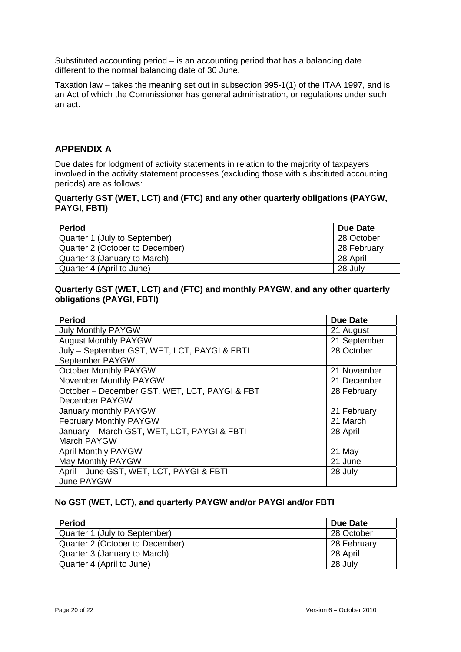Substituted accounting period – is an accounting period that has a balancing date different to the normal balancing date of 30 June.

Taxation law – takes the meaning set out in subsection 995-1(1) of the ITAA 1997, and is an Act of which the Commissioner has general administration, or regulations under such an act.

# **APPENDIX A**

Due dates for lodgment of activity statements in relation to the majority of taxpayers involved in the activity statement processes (excluding those with substituted accounting periods) are as follows:

#### **Quarterly GST (WET, LCT) and (FTC) and any other quarterly obligations (PAYGW, PAYGI, FBTI)**

| <b>Period</b>                   | Due Date    |
|---------------------------------|-------------|
| Quarter 1 (July to September)   | 28 October  |
| Quarter 2 (October to December) | 28 February |
| Quarter 3 (January to March)    | 28 April    |
| Quarter 4 (April to June)       | 28 July     |

# **Quarterly GST (WET, LCT) and (FTC) and monthly PAYGW, and any other quarterly obligations (PAYGI, FBTI)**

| <b>Period</b>                                 | <b>Due Date</b> |
|-----------------------------------------------|-----------------|
| <b>July Monthly PAYGW</b>                     | 21 August       |
| <b>August Monthly PAYGW</b>                   | 21 September    |
| July - September GST, WET, LCT, PAYGI & FBTI  | 28 October      |
| September PAYGW                               |                 |
| <b>October Monthly PAYGW</b>                  | 21 November     |
| November Monthly PAYGW                        | 21 December     |
| October - December GST, WET, LCT, PAYGI & FBT | 28 February     |
| December PAYGW                                |                 |
| January monthly PAYGW                         | 21 February     |
| February Monthly PAYGW                        | 21 March        |
| January - March GST, WET, LCT, PAYGI & FBTI   | 28 April        |
| March PAYGW                                   |                 |
| <b>April Monthly PAYGW</b>                    | 21 May          |
| May Monthly PAYGW                             | 21 June         |
| April - June GST, WET, LCT, PAYGI & FBTI      | 28 July         |
| June PAYGW                                    |                 |

# **No GST (WET, LCT), and quarterly PAYGW and/or PAYGI and/or FBTI**

| <b>Period</b>                   | Due Date    |
|---------------------------------|-------------|
| Quarter 1 (July to September)   | 28 October  |
| Quarter 2 (October to December) | 28 February |
| Quarter 3 (January to March)    | 28 April    |
| Quarter 4 (April to June)       | 28 July     |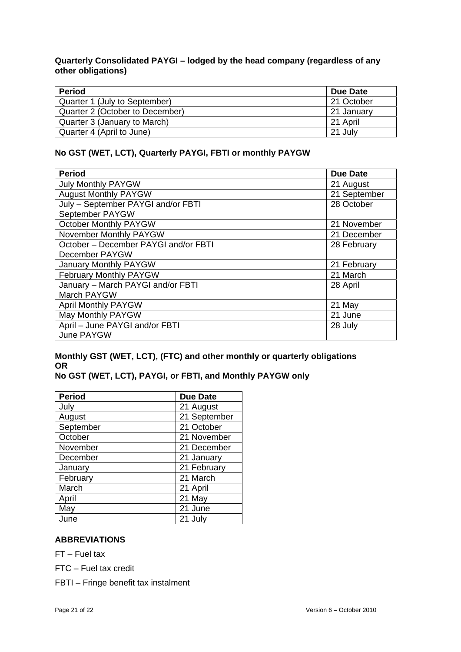# **Quarterly Consolidated PAYGI – lodged by the head company (regardless of any other obligations)**

| <b>Period</b>                   | Due Date   |
|---------------------------------|------------|
| Quarter 1 (July to September)   | 21 October |
| Quarter 2 (October to December) | 21 January |
| Quarter 3 (January to March)    | 21 April   |
| Quarter 4 (April to June)       | 21 July    |

# **No GST (WET, LCT), Quarterly PAYGI, FBTI or monthly PAYGW**

| <b>Period</b>                        | Due Date     |
|--------------------------------------|--------------|
| <b>July Monthly PAYGW</b>            | 21 August    |
| <b>August Monthly PAYGW</b>          | 21 September |
| July - September PAYGI and/or FBTI   | 28 October   |
| September PAYGW                      |              |
| <b>October Monthly PAYGW</b>         | 21 November  |
| November Monthly PAYGW               | 21 December  |
| October - December PAYGI and/or FBTI | 28 February  |
| December PAYGW                       |              |
| January Monthly PAYGW                | 21 February  |
| February Monthly PAYGW               | 21 March     |
| January - March PAYGI and/or FBTI    | 28 April     |
| March PAYGW                          |              |
| <b>April Monthly PAYGW</b>           | 21 May       |
| May Monthly PAYGW                    | 21 June      |
| April - June PAYGI and/or FBTI       | 28 July      |
| June PAYGW                           |              |

# **Monthly GST (WET, LCT), (FTC) and other monthly or quarterly obligations OR**

# **No GST (WET, LCT), PAYGI, or FBTI, and Monthly PAYGW only**

| <b>Period</b> | <b>Due Date</b> |
|---------------|-----------------|
| July          | 21 August       |
| August        | 21 September    |
| September     | 21 October      |
| October       | 21 November     |
| November      | 21 December     |
| December      | 21 January      |
| January       | 21 February     |
| February      | 21 March        |
| March         | 21 April        |
| April         | 21 May          |
| May           | 21 June         |
| June          | 21 July         |

# **ABBREVIATIONS**

FT – Fuel tax

FTC – Fuel tax credit

FBTI – Fringe benefit tax instalment